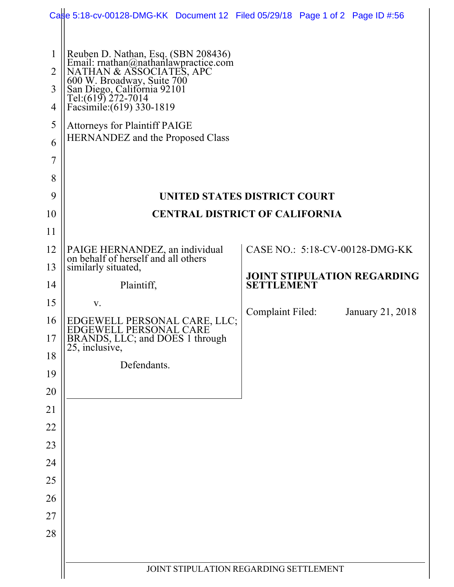|                                                         | Case 5:18-cv-00128-DMG-KK Document 12 Filed 05/29/18 Page 1 of 2 Page ID #:56                                                                                                                                                                                                                              |                                    |  |                  |  |  |  |
|---------------------------------------------------------|------------------------------------------------------------------------------------------------------------------------------------------------------------------------------------------------------------------------------------------------------------------------------------------------------------|------------------------------------|--|------------------|--|--|--|
| $\mathbf{1}$<br>$\overline{2}$<br>3<br>4<br>5<br>6<br>7 | Reuben D. Nathan, Esq. (SBN 208436)<br>Email: rnathan@nathanlawpractice.com<br>NATHAN & ASSOCIATES, APC<br>600 W. Broadway, Suite 700<br>San Diego, California 92101<br>Tel:(619) 272-7014<br>Facsimile: (619) 330-1819<br><b>Attorneys for Plaintiff PAIGE</b><br><b>HERNANDEZ</b> and the Proposed Class |                                    |  |                  |  |  |  |
| 8                                                       |                                                                                                                                                                                                                                                                                                            |                                    |  |                  |  |  |  |
| 9                                                       | UNITED STATES DISTRICT COURT                                                                                                                                                                                                                                                                               |                                    |  |                  |  |  |  |
| 10                                                      | <b>CENTRAL DISTRICT OF CALIFORNIA</b>                                                                                                                                                                                                                                                                      |                                    |  |                  |  |  |  |
| 11                                                      |                                                                                                                                                                                                                                                                                                            |                                    |  |                  |  |  |  |
| 12                                                      | PAIGE HERNANDEZ, an individual<br>on behalf of herself and all others                                                                                                                                                                                                                                      | CASE NO.: 5:18-CV-00128-DMG-KK     |  |                  |  |  |  |
| 13                                                      | similarly situated,                                                                                                                                                                                                                                                                                        | <b>JOINT STIPULATION REGARDING</b> |  |                  |  |  |  |
| 14                                                      | Plaintiff,                                                                                                                                                                                                                                                                                                 | <b>SETTLEMENT</b>                  |  |                  |  |  |  |
| 15                                                      | V.                                                                                                                                                                                                                                                                                                         | Complaint Filed:                   |  | January 21, 2018 |  |  |  |
| 16<br>17                                                | EDGEWELL PERSONAL CARE, LLC;<br>EDGEWELL PERSONAL CARE<br>BRANDS, LLC; and DOES 1 through<br>25, inclusive,                                                                                                                                                                                                |                                    |  |                  |  |  |  |
| 18                                                      |                                                                                                                                                                                                                                                                                                            |                                    |  |                  |  |  |  |
| 19                                                      | Defendants.                                                                                                                                                                                                                                                                                                |                                    |  |                  |  |  |  |
| 20                                                      |                                                                                                                                                                                                                                                                                                            |                                    |  |                  |  |  |  |
| 21                                                      |                                                                                                                                                                                                                                                                                                            |                                    |  |                  |  |  |  |
| 22                                                      |                                                                                                                                                                                                                                                                                                            |                                    |  |                  |  |  |  |
| 23                                                      |                                                                                                                                                                                                                                                                                                            |                                    |  |                  |  |  |  |
| 24                                                      |                                                                                                                                                                                                                                                                                                            |                                    |  |                  |  |  |  |
| 25                                                      |                                                                                                                                                                                                                                                                                                            |                                    |  |                  |  |  |  |
| 26                                                      |                                                                                                                                                                                                                                                                                                            |                                    |  |                  |  |  |  |
| 27<br>28                                                |                                                                                                                                                                                                                                                                                                            |                                    |  |                  |  |  |  |
|                                                         |                                                                                                                                                                                                                                                                                                            |                                    |  |                  |  |  |  |
|                                                         | JOINT STIPULATION REGARDING SETTLEMENT                                                                                                                                                                                                                                                                     |                                    |  |                  |  |  |  |
|                                                         |                                                                                                                                                                                                                                                                                                            |                                    |  |                  |  |  |  |